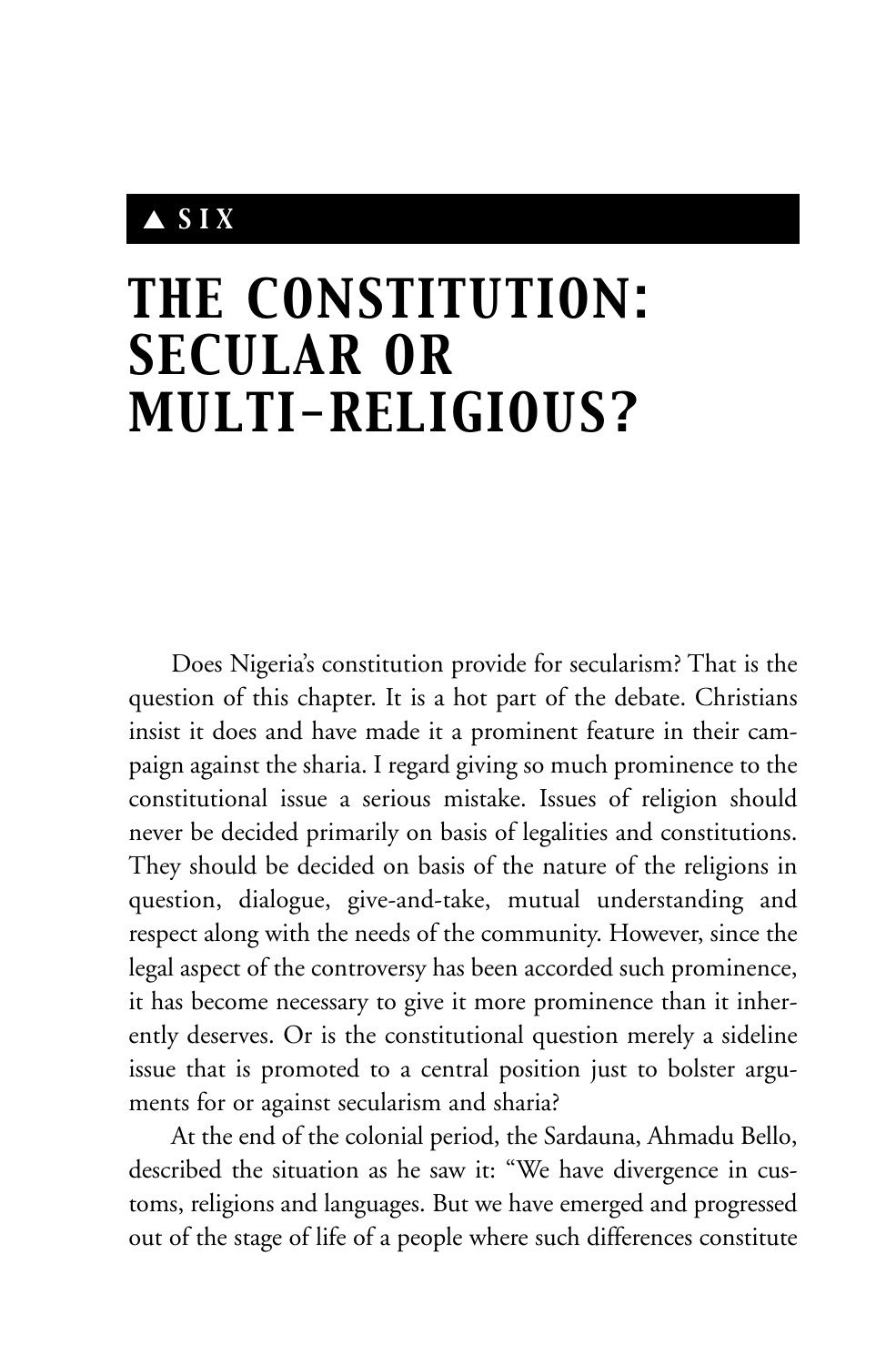## ▲ *SIX*

# *THE CONSTITUTION: SECULAR OR MULTI-RELIGIOUS?*

Does Nigeria's constitution provide for secularism? That is the question of this chapter. It is a hot part of the debate. Christians insist it does and have made it a prominent feature in their campaign against the sharia. I regard giving so much prominence to the constitutional issue a serious mistake. Issues of religion should never be decided primarily on basis of legalities and constitutions. They should be decided on basis of the nature of the religions in question, dialogue, give-and-take, mutual understanding and respect along with the needs of the community. However, since the legal aspect of the controversy has been accorded such prominence, it has become necessary to give it more prominence than it inherently deserves. Or is the constitutional question merely a sideline issue that is promoted to a central position just to bolster arguments for or against secularism and sharia?

At the end of the colonial period, the Sardauna, Ahmadu Bello, described the situation as he saw it: "We have divergence in customs, religions and languages. But we have emerged and progressed out of the stage of life of a people where such differences constitute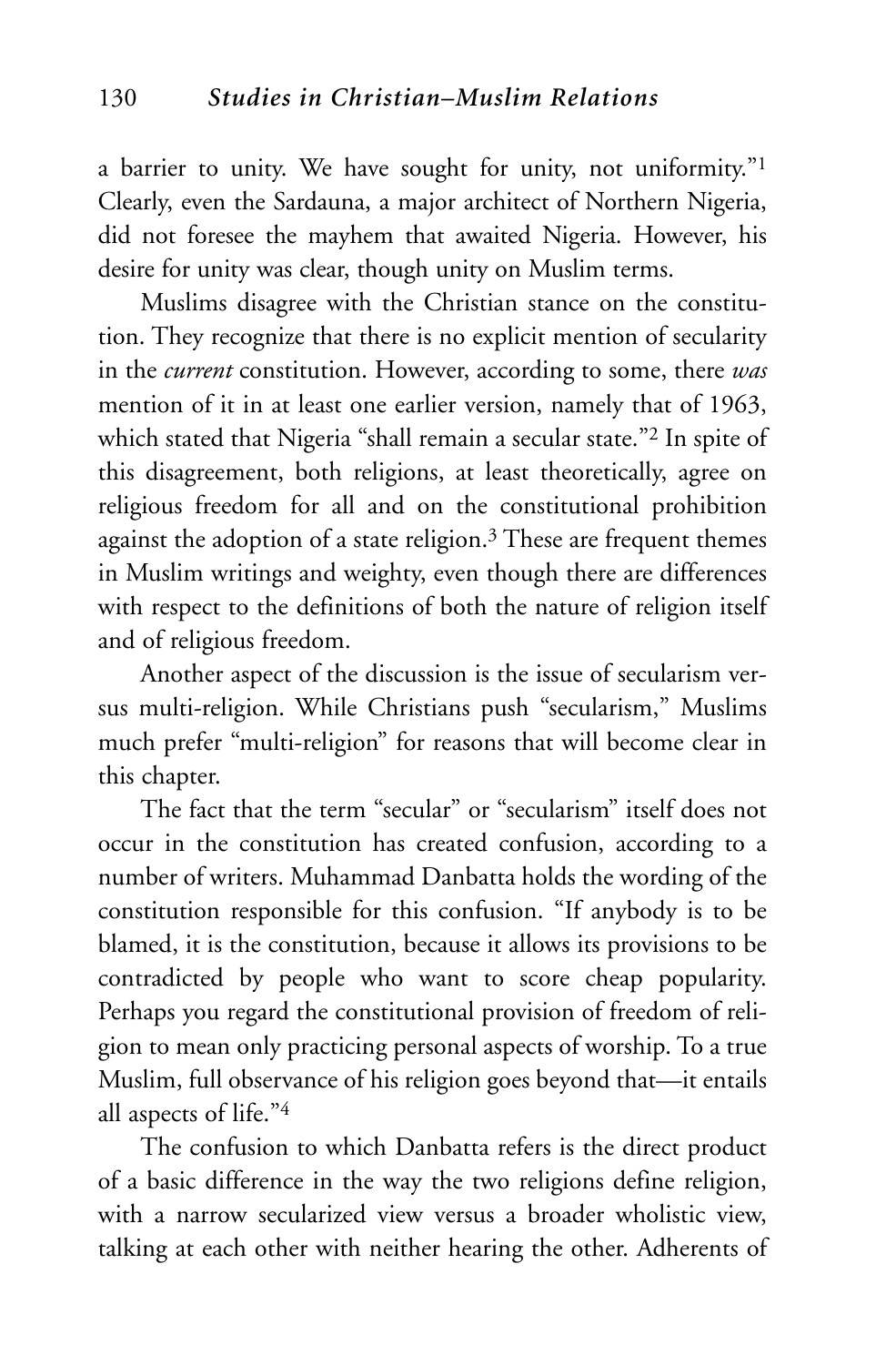a barrier to unity. We have sought for unity, not uniformity."<sup>1</sup> Clearly, even the Sardauna, a major architect of Northern Nigeria, did not foresee the mayhem that awaited Nigeria. However, his desire for unity was clear, though unity on Muslim terms.

Muslims disagree with the Christian stance on the constitution. They recognize that there is no explicit mention of secularity in the *current* constitution. However, according to some, there *was* mention of it in at least one earlier version, namely that of 1963, which stated that Nigeria "shall remain a secular state."2 In spite of this disagreement, both religions, at least theoretically, agree on religious freedom for all and on the constitutional prohibition against the adoption of a state religion.<sup>3</sup> These are frequent themes in Muslim writings and weighty, even though there are differences with respect to the definitions of both the nature of religion itself and of religious freedom.

Another aspect of the discussion is the issue of secularism versus multi-religion. While Christians push "secularism," Muslims much prefer "multi-religion" for reasons that will become clear in this chapter.

The fact that the term "secular" or "secularism" itself does not occur in the constitution has created confusion, according to a number of writers. Muhammad Danbatta holds the wording of the constitution responsible for this confusion. "If anybody is to be blamed, it is the constitution, because it allows its provisions to be contradicted by people who want to score cheap popularity. Perhaps you regard the constitutional provision of freedom of religion to mean only practicing personal aspects of worship. To a true Muslim, full observance of his religion goes beyond that—it entails all aspects of life."4

The confusion to which Danbatta refers is the direct product of a basic difference in the way the two religions define religion, with a narrow secularized view versus a broader wholistic view, talking at each other with neither hearing the other. Adherents of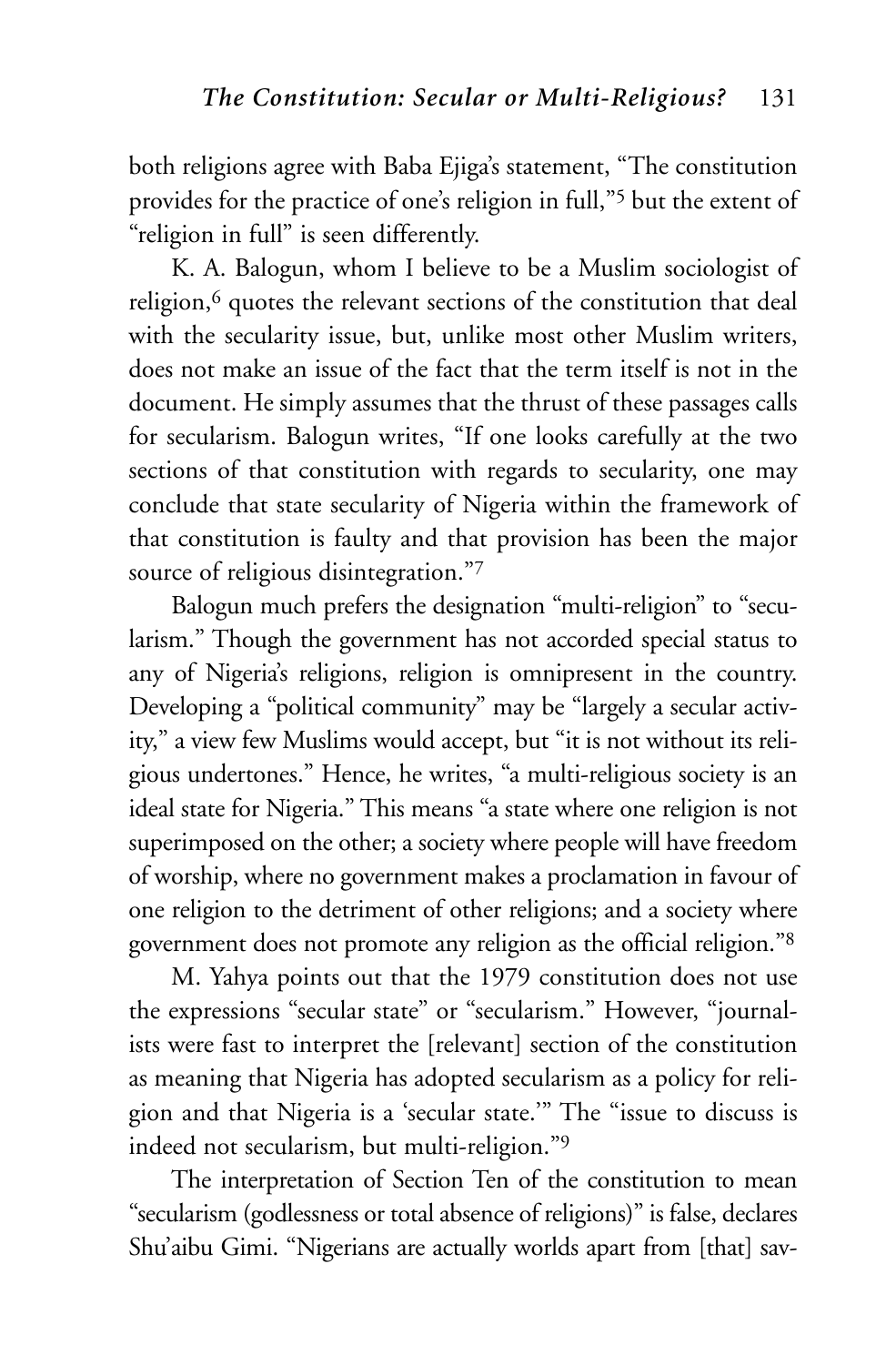both religions agree with Baba Ejiga's statement, "The constitution provides for the practice of one's religion in full,"5 but the extent of "religion in full" is seen differently.

K. A. Balogun, whom I believe to be a Muslim sociologist of religion,<sup>6</sup> quotes the relevant sections of the constitution that deal with the secularity issue, but, unlike most other Muslim writers, does not make an issue of the fact that the term itself is not in the document. He simply assumes that the thrust of these passages calls for secularism. Balogun writes, "If one looks carefully at the two sections of that constitution with regards to secularity, one may conclude that state secularity of Nigeria within the framework of that constitution is faulty and that provision has been the major source of religious disintegration."7

Balogun much prefers the designation "multi-religion" to "secularism." Though the government has not accorded special status to any of Nigeria's religions, religion is omnipresent in the country. Developing a "political community" may be "largely a secular activity," a view few Muslims would accept, but "it is not without its religious undertones." Hence, he writes, "a multi-religious society is an ideal state for Nigeria." This means "a state where one religion is not superimposed on the other; a society where people will have freedom of worship, where no government makes a proclamation in favour of one religion to the detriment of other religions; and a society where government does not promote any religion as the official religion."8

M. Yahya points out that the 1979 constitution does not use the expressions "secular state" or "secularism." However, "journalists were fast to interpret the [relevant] section of the constitution as meaning that Nigeria has adopted secularism as a policy for religion and that Nigeria is a 'secular state.'" The "issue to discuss is indeed not secularism, but multi-religion."9

The interpretation of Section Ten of the constitution to mean "secularism (godlessness or total absence of religions)" is false, declares Shu'aibu Gimi. "Nigerians are actually worlds apart from [that] sav-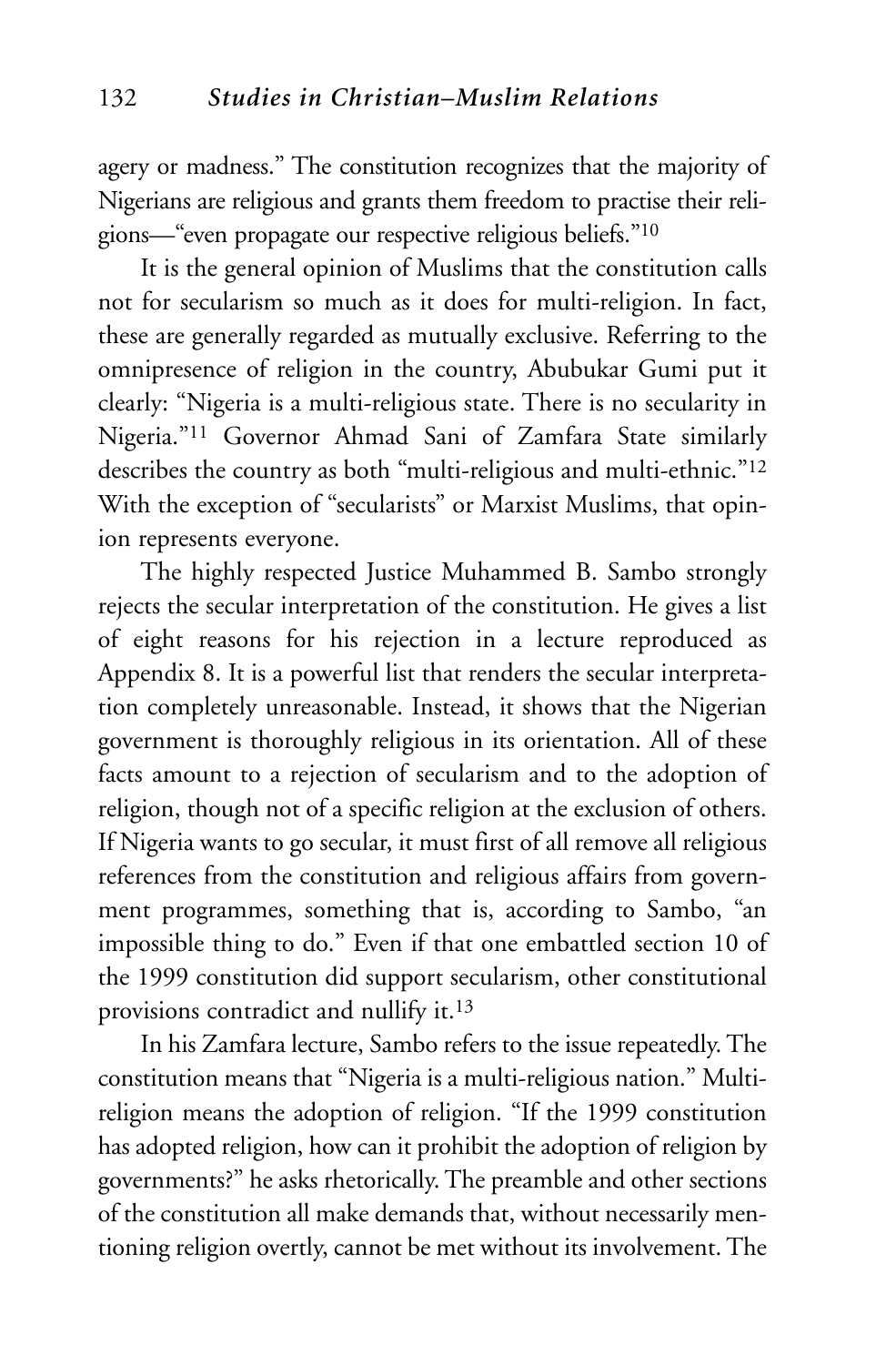agery or madness." The constitution recognizes that the majority of Nigerians are religious and grants them freedom to practise their religions—"even propagate our respective religious beliefs."10

It is the general opinion of Muslims that the constitution calls not for secularism so much as it does for multi-religion. In fact, these are generally regarded as mutually exclusive. Referring to the omnipresence of religion in the country, Abubukar Gumi put it clearly: "Nigeria is a multi-religious state. There is no secularity in Nigeria."11 Governor Ahmad Sani of Zamfara State similarly describes the country as both "multi-religious and multi-ethnic."12 With the exception of "secularists" or Marxist Muslims, that opinion represents everyone.

The highly respected Justice Muhammed B. Sambo strongly rejects the secular interpretation of the constitution. He gives a list of eight reasons for his rejection in a lecture reproduced as Appendix 8. It is a powerful list that renders the secular interpretation completely unreasonable. Instead, it shows that the Nigerian government is thoroughly religious in its orientation. All of these facts amount to a rejection of secularism and to the adoption of religion, though not of a specific religion at the exclusion of others. If Nigeria wants to go secular, it must first of all remove all religious references from the constitution and religious affairs from government programmes, something that is, according to Sambo, "an impossible thing to do." Even if that one embattled section 10 of the 1999 constitution did support secularism, other constitutional provisions contradict and nullify it.13

In his Zamfara lecture, Sambo refers to the issue repeatedly. The constitution means that "Nigeria is a multi-religious nation." Multireligion means the adoption of religion. "If the 1999 constitution has adopted religion, how can it prohibit the adoption of religion by governments?" he asks rhetorically. The preamble and other sections of the constitution all make demands that, without necessarily mentioning religion overtly, cannot be met without its involvement. The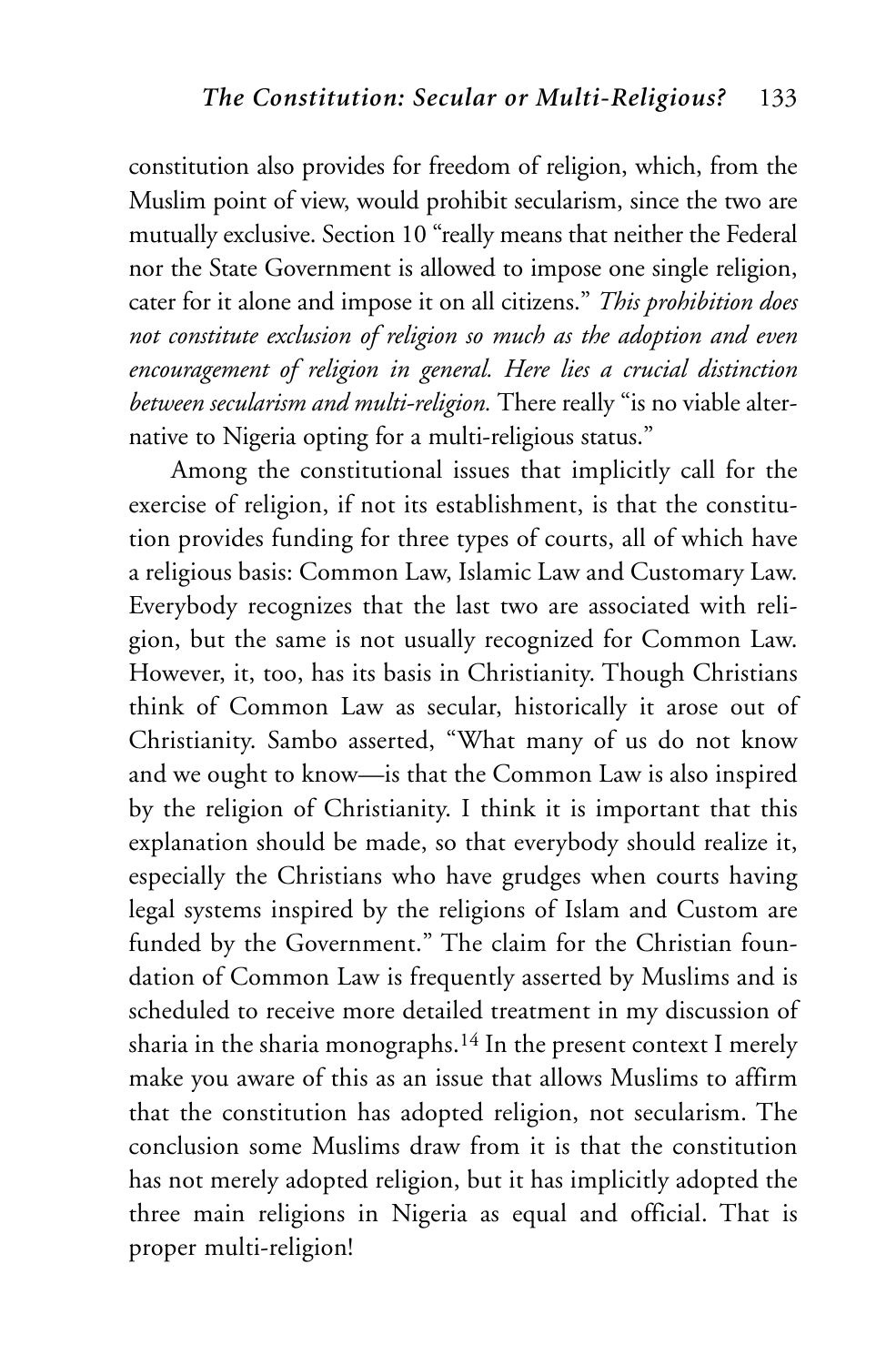constitution also provides for freedom of religion, which, from the Muslim point of view, would prohibit secularism, since the two are mutually exclusive. Section 10 "really means that neither the Federal nor the State Government is allowed to impose one single religion, cater for it alone and impose it on all citizens." *This prohibition does not constitute exclusion of religion so much as the adoption and even encouragement of religion in general. Here lies a crucial distinction between secularism and multi-religion.* There really "is no viable alternative to Nigeria opting for a multi-religious status."

Among the constitutional issues that implicitly call for the exercise of religion, if not its establishment, is that the constitution provides funding for three types of courts, all of which have a religious basis: Common Law, Islamic Law and Customary Law. Everybody recognizes that the last two are associated with religion, but the same is not usually recognized for Common Law. However, it, too, has its basis in Christianity. Though Christians think of Common Law as secular, historically it arose out of Christianity. Sambo asserted, "What many of us do not know and we ought to know—is that the Common Law is also inspired by the religion of Christianity. I think it is important that this explanation should be made, so that everybody should realize it, especially the Christians who have grudges when courts having legal systems inspired by the religions of Islam and Custom are funded by the Government." The claim for the Christian foundation of Common Law is frequently asserted by Muslims and is scheduled to receive more detailed treatment in my discussion of sharia in the sharia monographs.14 In the present context I merely make you aware of this as an issue that allows Muslims to affirm that the constitution has adopted religion, not secularism. The conclusion some Muslims draw from it is that the constitution has not merely adopted religion, but it has implicitly adopted the three main religions in Nigeria as equal and official. That is proper multi-religion!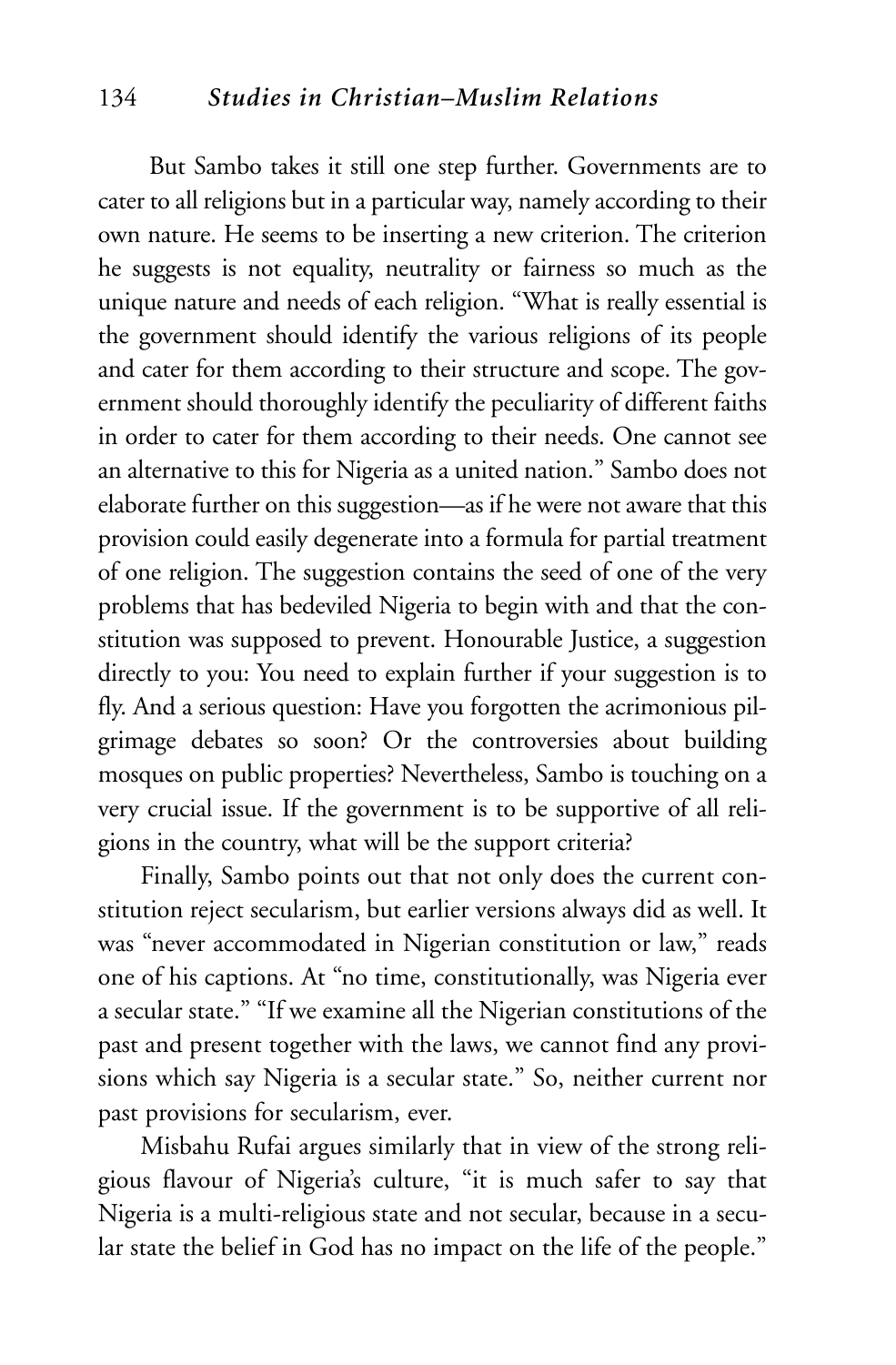#### 134 *Studies in Christian–Muslim Relations*

But Sambo takes it still one step further. Governments are to cater to all religions but in a particular way, namely according to their own nature. He seems to be inserting a new criterion. The criterion he suggests is not equality, neutrality or fairness so much as the unique nature and needs of each religion. "What is really essential is the government should identify the various religions of its people and cater for them according to their structure and scope. The government should thoroughly identify the peculiarity of different faiths in order to cater for them according to their needs. One cannot see an alternative to this for Nigeria as a united nation." Sambo does not elaborate further on this suggestion—as if he were not aware that this provision could easily degenerate into a formula for partial treatment of one religion. The suggestion contains the seed of one of the very problems that has bedeviled Nigeria to begin with and that the constitution was supposed to prevent. Honourable Justice, a suggestion directly to you: You need to explain further if your suggestion is to fly. And a serious question: Have you forgotten the acrimonious pilgrimage debates so soon? Or the controversies about building mosques on public properties? Nevertheless, Sambo is touching on a very crucial issue. If the government is to be supportive of all religions in the country, what will be the support criteria?

Finally, Sambo points out that not only does the current constitution reject secularism, but earlier versions always did as well. It was "never accommodated in Nigerian constitution or law," reads one of his captions. At "no time, constitutionally, was Nigeria ever a secular state." "If we examine all the Nigerian constitutions of the past and present together with the laws, we cannot find any provisions which say Nigeria is a secular state." So, neither current nor past provisions for secularism, ever.

Misbahu Rufai argues similarly that in view of the strong religious flavour of Nigeria's culture, "it is much safer to say that Nigeria is a multi-religious state and not secular, because in a secular state the belief in God has no impact on the life of the people."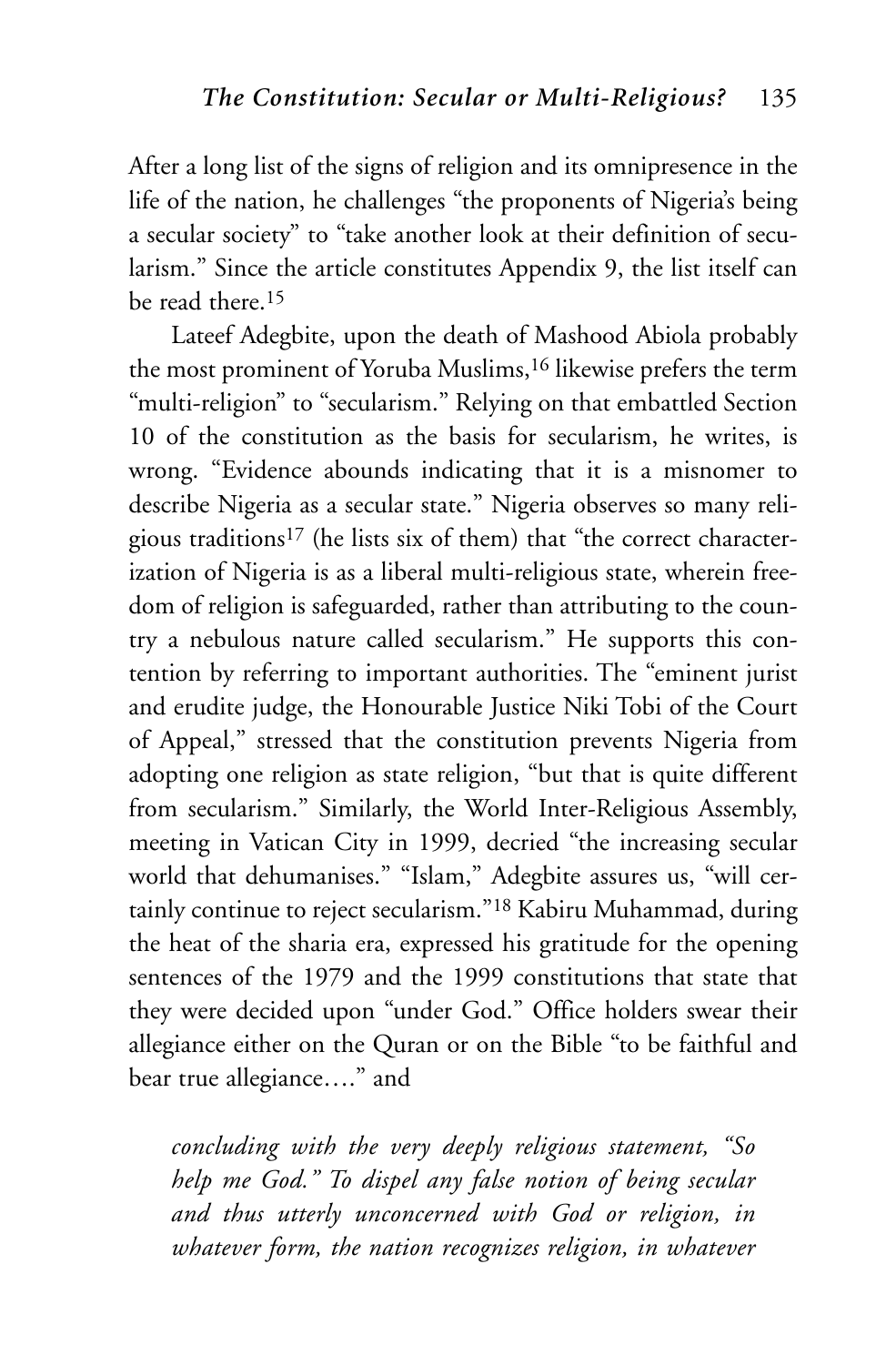After a long list of the signs of religion and its omnipresence in the life of the nation, he challenges "the proponents of Nigeria's being a secular society" to "take another look at their definition of secularism." Since the article constitutes Appendix 9, the list itself can be read there 15

Lateef Adegbite, upon the death of Mashood Abiola probably the most prominent of Yoruba Muslims,<sup>16</sup> likewise prefers the term "multi-religion" to "secularism." Relying on that embattled Section 10 of the constitution as the basis for secularism, he writes, is wrong. "Evidence abounds indicating that it is a misnomer to describe Nigeria as a secular state." Nigeria observes so many religious traditions17 (he lists six of them) that "the correct characterization of Nigeria is as a liberal multi-religious state, wherein freedom of religion is safeguarded, rather than attributing to the country a nebulous nature called secularism." He supports this contention by referring to important authorities. The "eminent jurist and erudite judge, the Honourable Justice Niki Tobi of the Court of Appeal," stressed that the constitution prevents Nigeria from adopting one religion as state religion, "but that is quite different from secularism." Similarly, the World Inter-Religious Assembly, meeting in Vatican City in 1999, decried "the increasing secular world that dehumanises." "Islam," Adegbite assures us, "will certainly continue to reject secularism."18 Kabiru Muhammad, during the heat of the sharia era, expressed his gratitude for the opening sentences of the 1979 and the 1999 constitutions that state that they were decided upon "under God." Office holders swear their allegiance either on the Quran or on the Bible "to be faithful and bear true allegiance…." and

*concluding with the very deeply religious statement, "So help me God." To dispel any false notion of being secular and thus utterly unconcerned with God or religion, in whatever form, the nation recognizes religion, in whatever*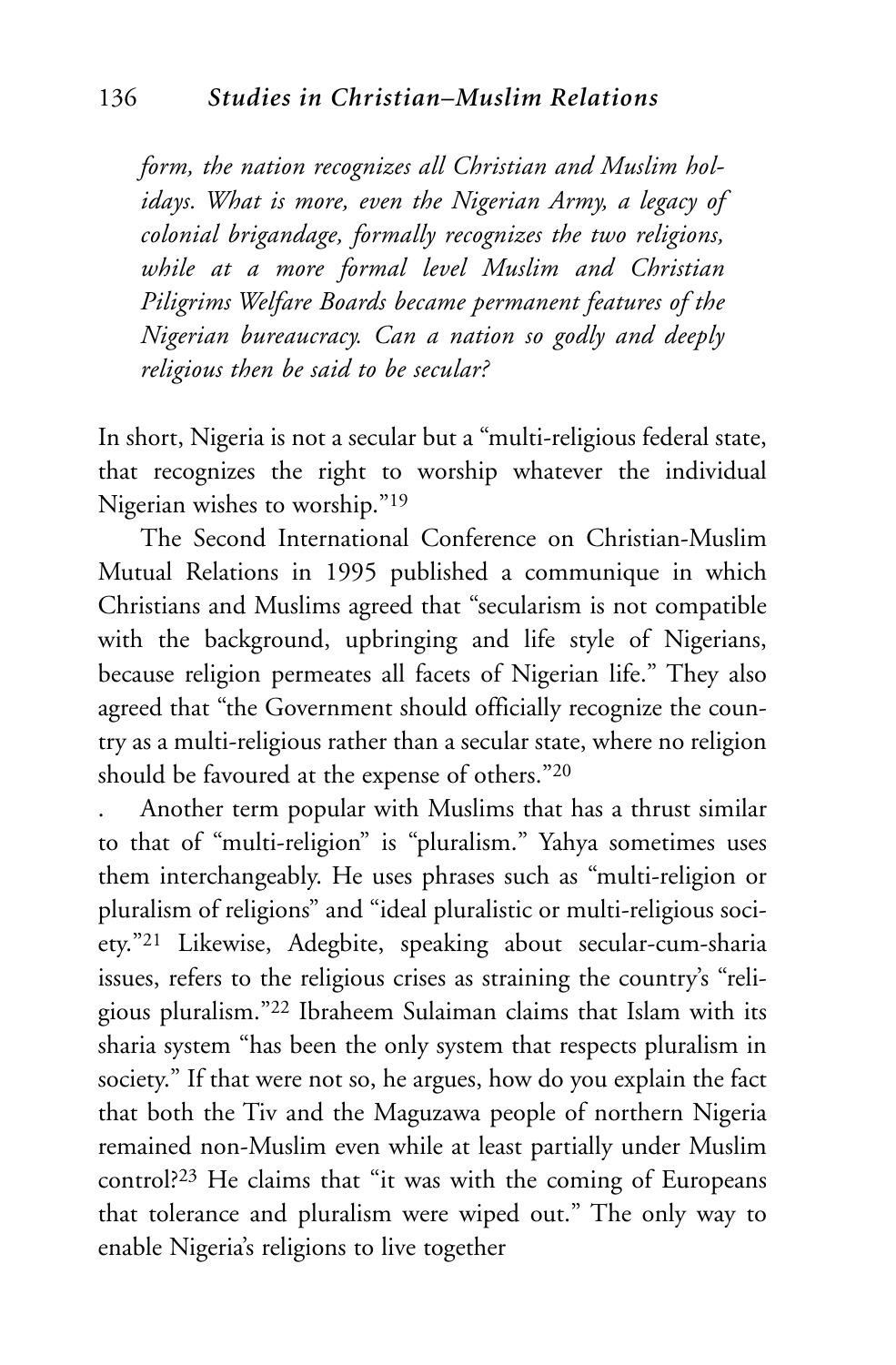*form, the nation recognizes all Christian and Muslim holidays. What is more, even the Nigerian Army, a legacy of colonial brigandage, formally recognizes the two religions, while at a more formal level Muslim and Christian Piligrims Welfare Boards became permanent features of the Nigerian bureaucracy. Can a nation so godly and deeply religious then be said to be secular?*

In short, Nigeria is not a secular but a "multi-religious federal state, that recognizes the right to worship whatever the individual Nigerian wishes to worship."19

The Second International Conference on Christian-Muslim Mutual Relations in 1995 published a communique in which Christians and Muslims agreed that "secularism is not compatible with the background, upbringing and life style of Nigerians, because religion permeates all facets of Nigerian life." They also agreed that "the Government should officially recognize the country as a multi-religious rather than a secular state, where no religion should be favoured at the expense of others."20

. Another term popular with Muslims that has a thrust similar to that of "multi-religion" is "pluralism." Yahya sometimes uses them interchangeably. He uses phrases such as "multi-religion or pluralism of religions" and "ideal pluralistic or multi-religious society."21 Likewise, Adegbite, speaking about secular-cum-sharia issues, refers to the religious crises as straining the country's "religious pluralism."22 Ibraheem Sulaiman claims that Islam with its sharia system "has been the only system that respects pluralism in society." If that were not so, he argues, how do you explain the fact that both the Tiv and the Maguzawa people of northern Nigeria remained non-Muslim even while at least partially under Muslim control?23 He claims that "it was with the coming of Europeans that tolerance and pluralism were wiped out." The only way to enable Nigeria's religions to live together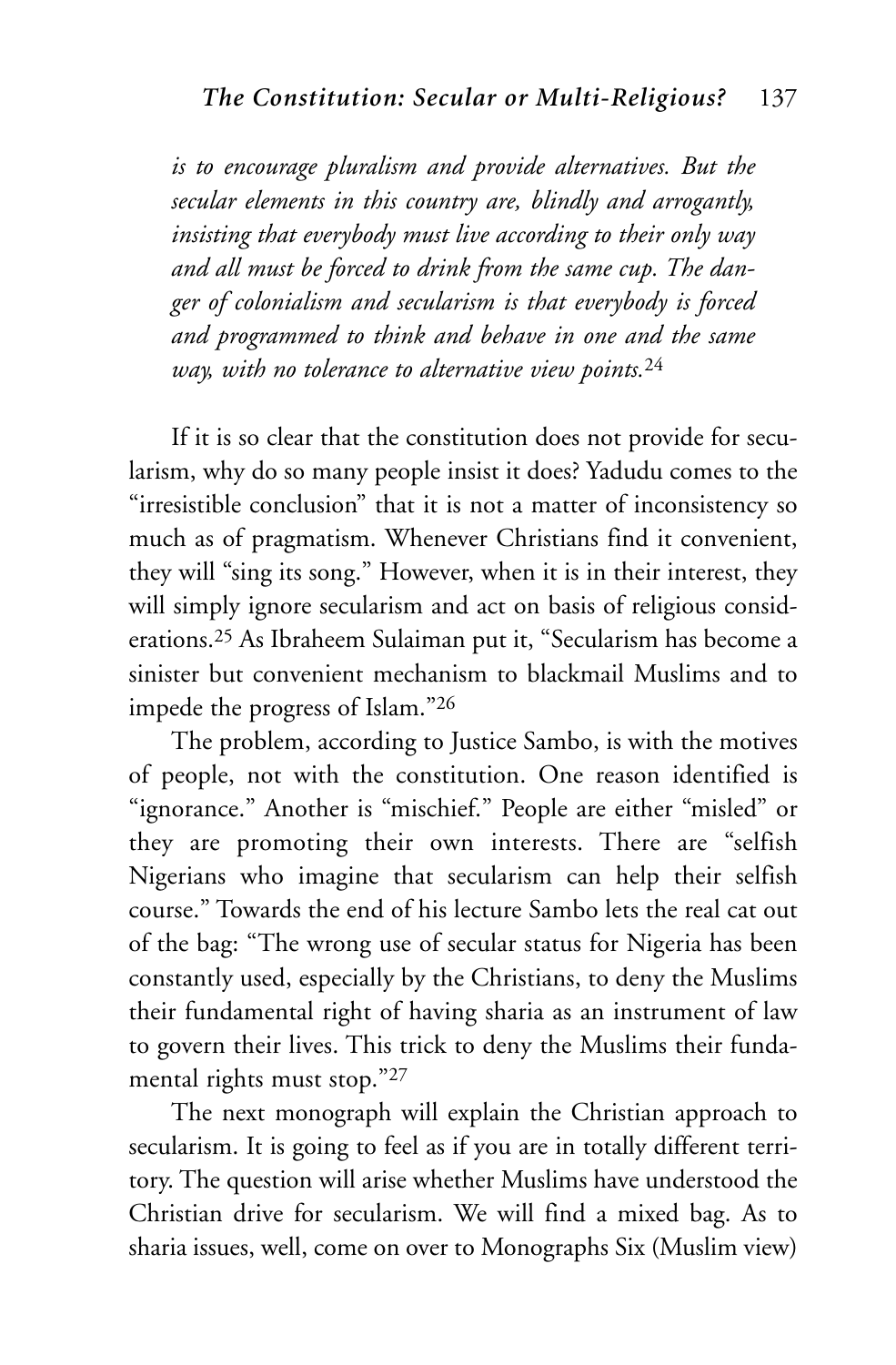*is to encourage pluralism and provide alternatives. But the secular elements in this country are, blindly and arrogantly, insisting that everybody must live according to their only way and all must be forced to drink from the same cup. The danger of colonialism and secularism is that everybody is forced and programmed to think and behave in one and the same way, with no tolerance to alternative view points.*<sup>24</sup>

If it is so clear that the constitution does not provide for secularism, why do so many people insist it does? Yadudu comes to the "irresistible conclusion" that it is not a matter of inconsistency so much as of pragmatism. Whenever Christians find it convenient, they will "sing its song." However, when it is in their interest, they will simply ignore secularism and act on basis of religious considerations.25 As Ibraheem Sulaiman put it, "Secularism has become a sinister but convenient mechanism to blackmail Muslims and to impede the progress of Islam."26

The problem, according to Justice Sambo, is with the motives of people, not with the constitution. One reason identified is "ignorance." Another is "mischief." People are either "misled" or they are promoting their own interests. There are "selfish Nigerians who imagine that secularism can help their selfish course." Towards the end of his lecture Sambo lets the real cat out of the bag: "The wrong use of secular status for Nigeria has been constantly used, especially by the Christians, to deny the Muslims their fundamental right of having sharia as an instrument of law to govern their lives. This trick to deny the Muslims their fundamental rights must stop."27

The next monograph will explain the Christian approach to secularism. It is going to feel as if you are in totally different territory. The question will arise whether Muslims have understood the Christian drive for secularism. We will find a mixed bag. As to sharia issues, well, come on over to Monographs Six (Muslim view)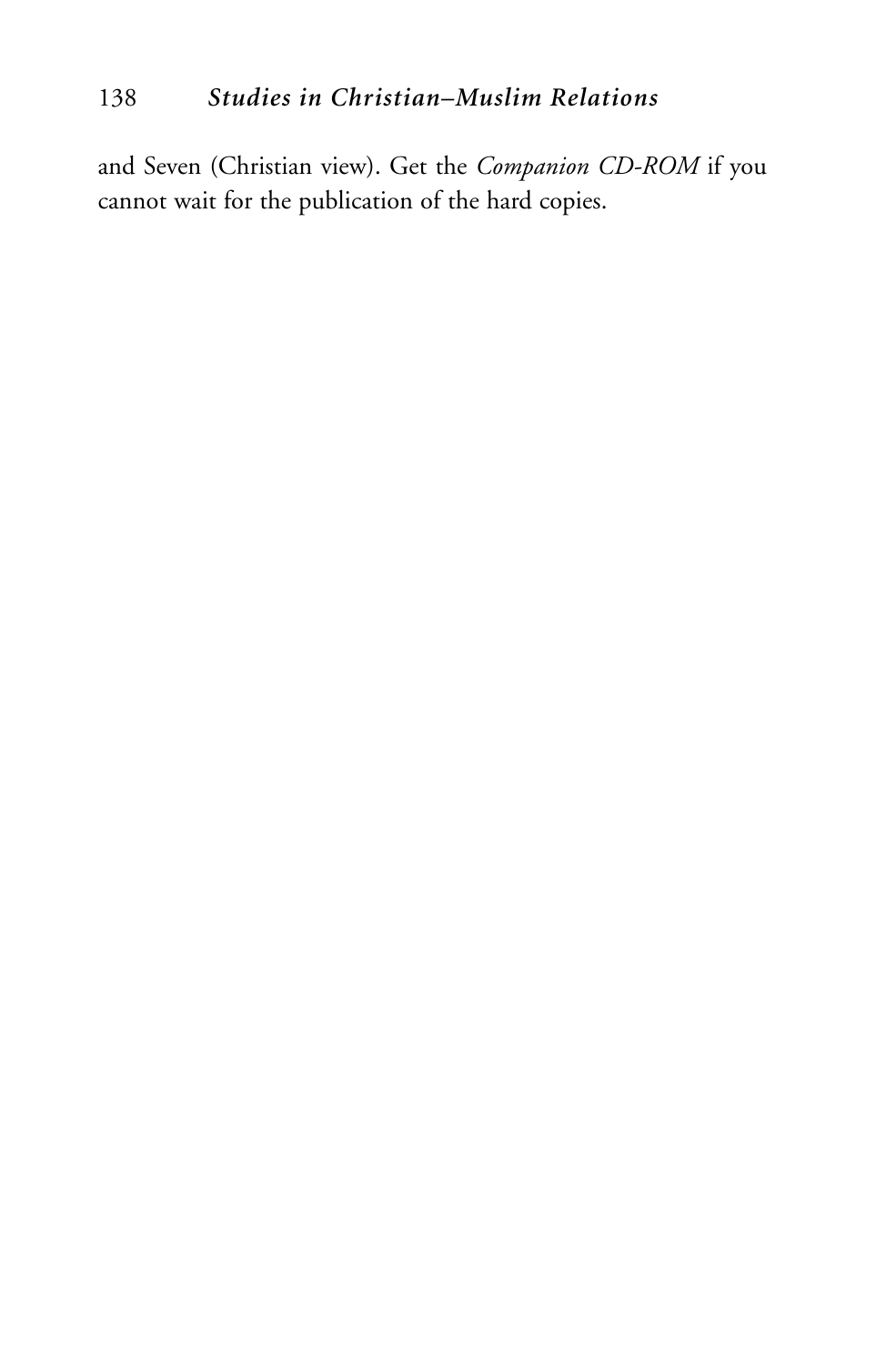### 138 *Studies in Christian–Muslim Relations*

and Seven (Christian view). Get the *Companion CD-ROM* if you cannot wait for the publication of the hard copies.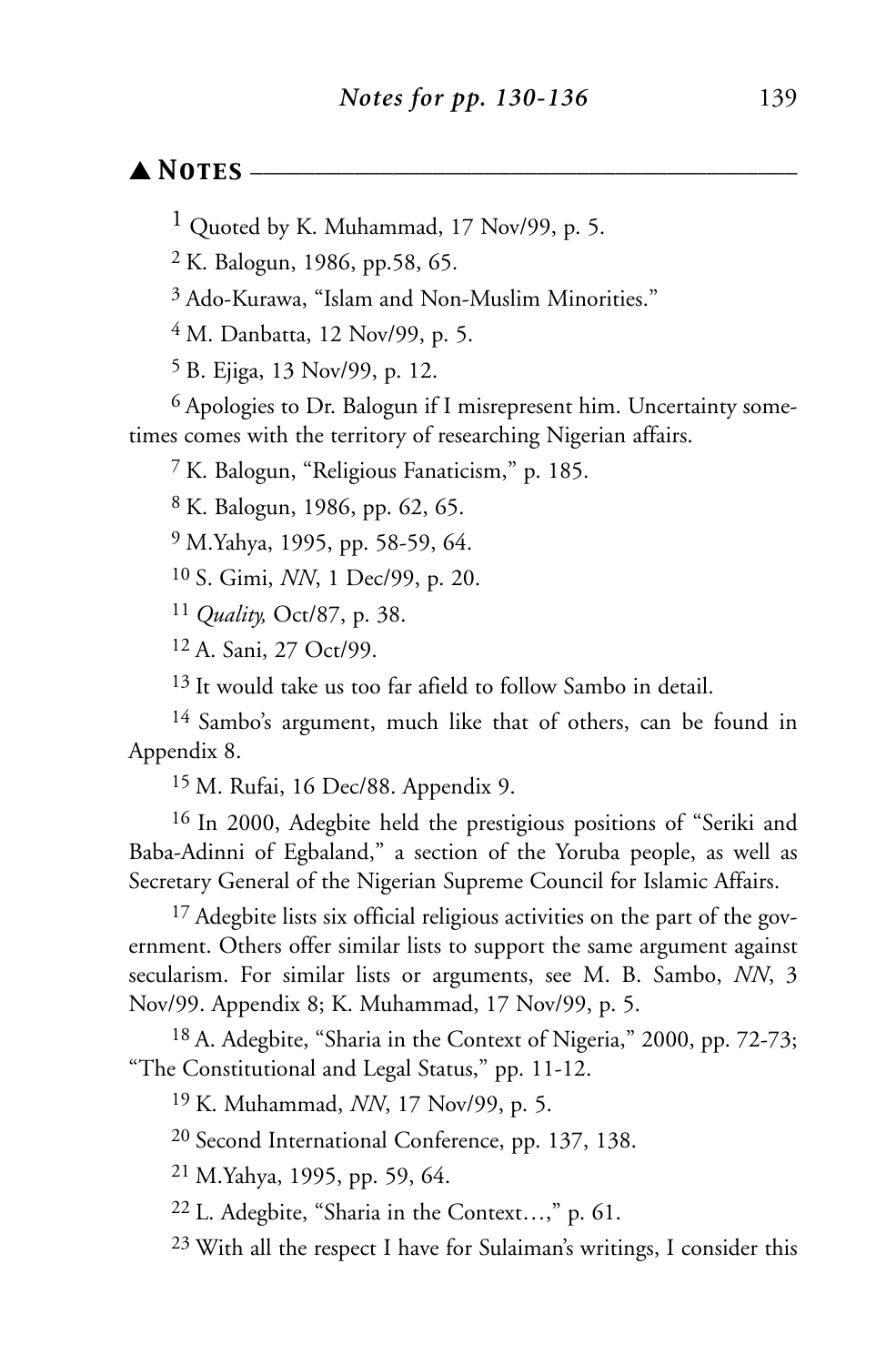#### ▲ *Notes* \_\_\_\_\_\_\_\_\_\_\_\_\_\_\_\_\_\_\_\_\_\_\_\_\_\_\_\_\_\_\_\_\_\_\_\_\_\_\_\_\_\_

1 Quoted by K. Muhammad, 17 Nov/99, p. 5.

2 K. Balogun, 1986, pp.58, 65.

3 Ado-Kurawa, "Islam and Non-Muslim Minorities."

4 M. Danbatta, 12 Nov/99, p. 5.

5 B. Ejiga, 13 Nov/99, p. 12.

6 Apologies to Dr. Balogun if I misrepresent him. Uncertainty sometimes comes with the territory of researching Nigerian affairs.

7 K. Balogun, "Religious Fanaticism," p. 185.

8 K. Balogun, 1986, pp. 62, 65.

9 M.Yahya, 1995, pp. 58-59, 64.

10 S. Gimi, *NN*, 1 Dec/99, p. 20.

11 *Quality,* Oct/87, p. 38.

12 A. Sani, 27 Oct/99.

<sup>13</sup> It would take us too far afield to follow Sambo in detail.

14 Sambo's argument, much like that of others, can be found in Appendix 8.

15 M. Rufai, 16 Dec/88. Appendix 9.

16 In 2000, Adegbite held the prestigious positions of "Seriki and Baba-Adinni of Egbaland," a section of the Yoruba people, as well as Secretary General of the Nigerian Supreme Council for Islamic Affairs.

<sup>17</sup> Adegbite lists six official religious activities on the part of the government. Others offer similar lists to support the same argument against secularism. For similar lists or arguments, see M. B. Sambo, *NN*, 3 Nov/99. Appendix 8; K. Muhammad, 17 Nov/99, p. 5.

18 A. Adegbite, "Sharia in the Context of Nigeria," 2000, pp. 72-73; "The Constitutional and Legal Status," pp. 11-12.

19 K. Muhammad, *NN*, 17 Nov/99, p. 5.

20 Second International Conference, pp. 137, 138.

21 M.Yahya, 1995, pp. 59, 64.

22 L. Adegbite, "Sharia in the Context…," p. 61.

23 With all the respect I have for Sulaiman's writings, I consider this